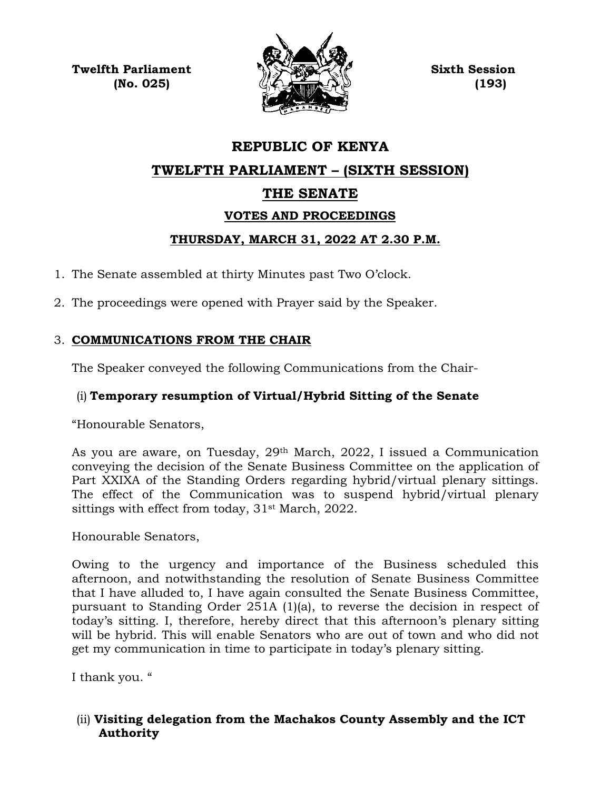**Twelfth Parliament Sixth Session**



# **REPUBLIC OF KENYA TWELFTH PARLIAMENT – (SIXTH SESSION) THE SENATE VOTES AND PROCEEDINGS THURSDAY, MARCH 31, 2022 AT 2.30 P.M.**

1. The Senate assembled at thirty Minutes past Two O'clock.

2. The proceedings were opened with Prayer said by the Speaker.

## 3. **COMMUNICATIONS FROM THE CHAIR**

The Speaker conveyed the following Communications from the Chair-

## (i) **Temporary resumption of Virtual/Hybrid Sitting of the Senate**

"Honourable Senators,

As you are aware, on Tuesday, 29th March, 2022, I issued a Communication conveying the decision of the Senate Business Committee on the application of Part XXIXA of the Standing Orders regarding hybrid/virtual plenary sittings. The effect of the Communication was to suspend hybrid/virtual plenary sittings with effect from today, 31st March, 2022.

Honourable Senators,

Owing to the urgency and importance of the Business scheduled this afternoon, and notwithstanding the resolution of Senate Business Committee that I have alluded to, I have again consulted the Senate Business Committee, pursuant to Standing Order 251A (1)(a), to reverse the decision in respect of today's sitting. I, therefore, hereby direct that this afternoon's plenary sitting will be hybrid. This will enable Senators who are out of town and who did not get my communication in time to participate in today's plenary sitting.

I thank you. "

## (ii) **Visiting delegation from the Machakos County Assembly and the ICT Authority**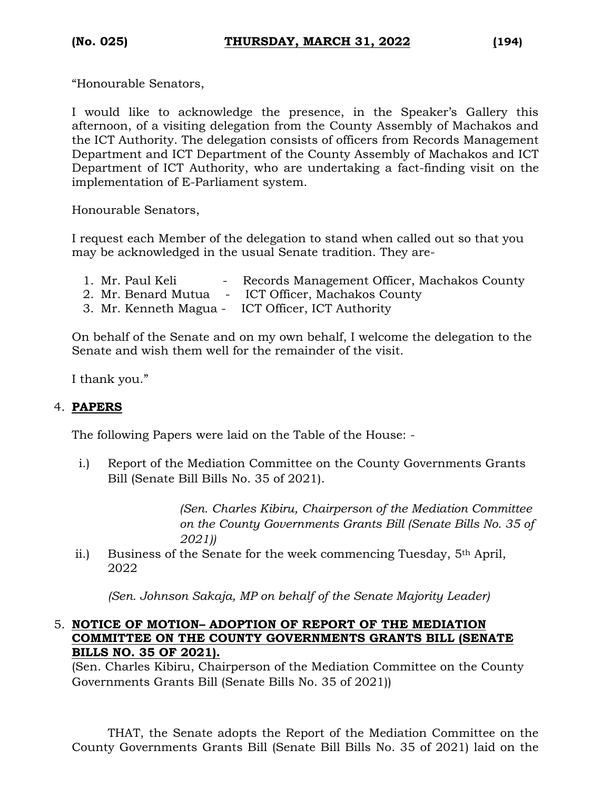"Honourable Senators,

I would like to acknowledge the presence, in the Speaker's Gallery this afternoon, of a visiting delegation from the County Assembly of Machakos and the ICT Authority. The delegation consists of officers from Records Management Department and ICT Department of the County Assembly of Machakos and ICT Department of ICT Authority, who are undertaking a fact-finding visit on the implementation of E-Parliament system.

Honourable Senators,

I request each Member of the delegation to stand when called out so that you may be acknowledged in the usual Senate tradition. They are-

1. Mr. Paul Keli - Records Management Officer, Machakos County 2. Mr. Benard Mutua - ICT Officer, Machakos County 3. Mr. Kenneth Magua - ICT Officer, ICT Authority

On behalf of the Senate and on my own behalf, I welcome the delegation to the Senate and wish them well for the remainder of the visit.

I thank you."

#### 4. **PAPERS**

The following Papers were laid on the Table of the House: -

i.) Report of the Mediation Committee on the County Governments Grants Bill (Senate Bill Bills No. 35 of 2021).

> *(Sen. Charles Kibiru, Chairperson of the Mediation Committee on the County Governments Grants Bill (Senate Bills No. 35 of 2021))*

ii.) Business of the Senate for the week commencing Tuesday, 5th April, 2022

*(Sen. Johnson Sakaja, MP on behalf of the Senate Majority Leader)*

#### 5. **NOTICE OF MOTION– ADOPTION OF REPORT OF THE MEDIATION COMMITTEE ON THE COUNTY GOVERNMENTS GRANTS BILL (SENATE BILLS NO. 35 OF 2021).**

(Sen. Charles Kibiru, Chairperson of the Mediation Committee on the County Governments Grants Bill (Senate Bills No. 35 of 2021))

THAT, the Senate adopts the Report of the Mediation Committee on the County Governments Grants Bill (Senate Bill Bills No. 35 of 2021) laid on the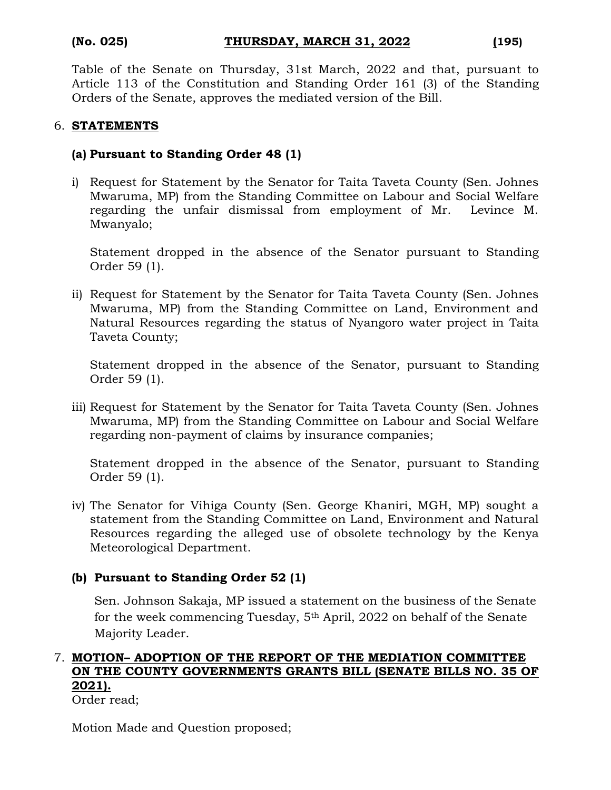Table of the Senate on Thursday, 31st March, 2022 and that, pursuant to Article 113 of the Constitution and Standing Order 161 (3) of the Standing Orders of the Senate, approves the mediated version of the Bill.

#### 6. **STATEMENTS**

#### **(a) Pursuant to Standing Order 48 (1)**

i) Request for Statement by the Senator for Taita Taveta County (Sen. Johnes Mwaruma, MP) from the Standing Committee on Labour and Social Welfare regarding the unfair dismissal from employment of Mr. Levince M. Mwanyalo;

Statement dropped in the absence of the Senator pursuant to Standing Order 59 (1).

ii) Request for Statement by the Senator for Taita Taveta County (Sen. Johnes Mwaruma, MP) from the Standing Committee on Land, Environment and Natural Resources regarding the status of Nyangoro water project in Taita Taveta County;

Statement dropped in the absence of the Senator, pursuant to Standing Order 59 (1).

iii) Request for Statement by the Senator for Taita Taveta County (Sen. Johnes Mwaruma, MP) from the Standing Committee on Labour and Social Welfare regarding non-payment of claims by insurance companies;

Statement dropped in the absence of the Senator, pursuant to Standing Order 59 (1).

iv) The Senator for Vihiga County (Sen. George Khaniri, MGH, MP) sought a statement from the Standing Committee on Land, Environment and Natural Resources regarding the alleged use of obsolete technology by the Kenya Meteorological Department.

#### **(b) Pursuant to Standing Order 52 (1)**

Sen. Johnson Sakaja, MP issued a statement on the business of the Senate for the week commencing Tuesday, 5th April, 2022 on behalf of the Senate Majority Leader.

#### 7. **MOTION– ADOPTION OF THE REPORT OF THE MEDIATION COMMITTEE ON THE COUNTY GOVERNMENTS GRANTS BILL (SENATE BILLS NO. 35 OF 2021).** Order read;

Motion Made and Question proposed;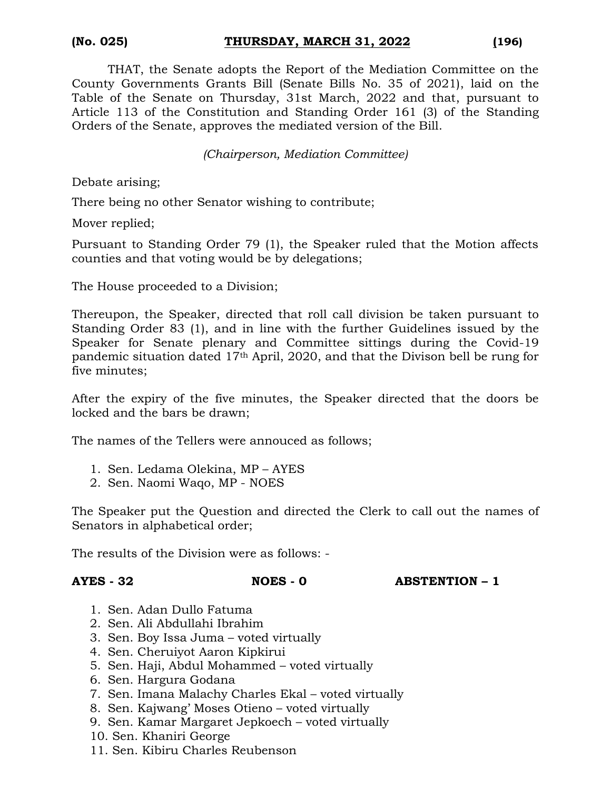THAT, the Senate adopts the Report of the Mediation Committee on the County Governments Grants Bill (Senate Bills No. 35 of 2021), laid on the Table of the Senate on Thursday, 31st March, 2022 and that, pursuant to Article 113 of the Constitution and Standing Order 161 (3) of the Standing Orders of the Senate, approves the mediated version of the Bill.

*(Chairperson, Mediation Committee)*

Debate arising;

There being no other Senator wishing to contribute;

Mover replied;

Pursuant to Standing Order 79 (1), the Speaker ruled that the Motion affects counties and that voting would be by delegations;

The House proceeded to a Division;

Thereupon, the Speaker, directed that roll call division be taken pursuant to Standing Order 83 (1), and in line with the further Guidelines issued by the Speaker for Senate plenary and Committee sittings during the Covid-19 pandemic situation dated 17th April, 2020, and that the Divison bell be rung for five minutes;

After the expiry of the five minutes, the Speaker directed that the doors be locked and the bars be drawn;

The names of the Tellers were annouced as follows;

- 1. Sen. Ledama Olekina, MP AYES
- 2. Sen. Naomi Waqo, MP NOES

The Speaker put the Question and directed the Clerk to call out the names of Senators in alphabetical order;

The results of the Division were as follows: -

**AYES - 32 NOES - 0 ABSTENTION – 1**

- 1. Sen. Adan Dullo Fatuma
- 2. Sen. Ali Abdullahi Ibrahim
- 3. Sen. Boy Issa Juma voted virtually
- 4. Sen. Cheruiyot Aaron Kipkirui
- 5. Sen. Haji, Abdul Mohammed voted virtually
- 6. Sen. Hargura Godana
- 7. Sen. Imana Malachy Charles Ekal voted virtually
- 8. Sen. Kajwang' Moses Otieno voted virtually
- 9. Sen. Kamar Margaret Jepkoech voted virtually
- 10. Sen. Khaniri George
- 11. Sen. Kibiru Charles Reubenson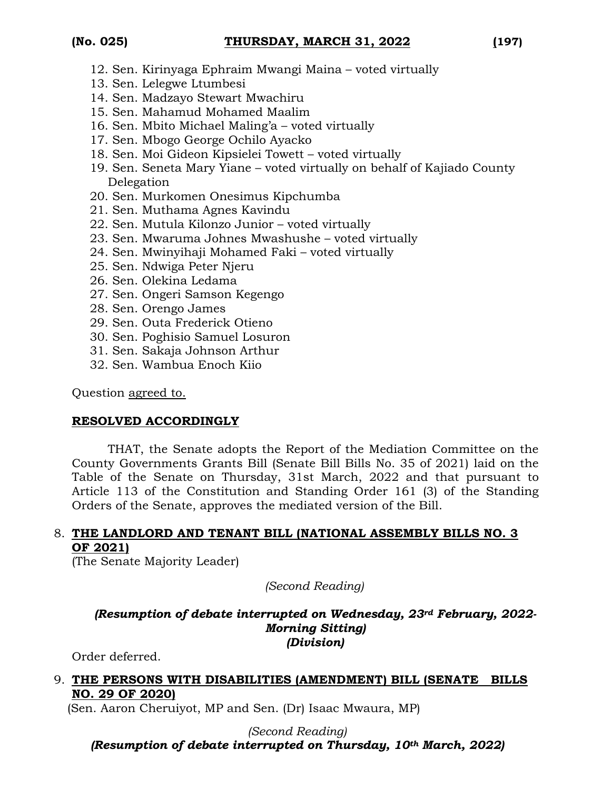- 12. Sen. Kirinyaga Ephraim Mwangi Maina voted virtually
- 13. Sen. Lelegwe Ltumbesi
- 14. Sen. Madzayo Stewart Mwachiru
- 15. Sen. Mahamud Mohamed Maalim
- 16. Sen. Mbito Michael Maling'a voted virtually
- 17. Sen. Mbogo George Ochilo Ayacko
- 18. Sen. Moi Gideon Kipsielei Towett voted virtually
- 19. Sen. Seneta Mary Yiane voted virtually on behalf of Kajiado County Delegation
- 20. Sen. Murkomen Onesimus Kipchumba
- 21. Sen. Muthama Agnes Kavindu
- 22. Sen. Mutula Kilonzo Junior voted virtually
- 23. Sen. Mwaruma Johnes Mwashushe voted virtually
- 24. Sen. Mwinyihaji Mohamed Faki voted virtually
- 25. Sen. Ndwiga Peter Njeru
- 26. Sen. Olekina Ledama
- 27. Sen. Ongeri Samson Kegengo
- 28. Sen. Orengo James
- 29. Sen. Outa Frederick Otieno
- 30. Sen. Poghisio Samuel Losuron
- 31. Sen. Sakaja Johnson Arthur
- 32. Sen. Wambua Enoch Kiio

Question agreed to.

### **RESOLVED ACCORDINGLY**

THAT, the Senate adopts the Report of the Mediation Committee on the County Governments Grants Bill (Senate Bill Bills No. 35 of 2021) laid on the Table of the Senate on Thursday, 31st March, 2022 and that pursuant to Article 113 of the Constitution and Standing Order 161 (3) of the Standing Orders of the Senate, approves the mediated version of the Bill.

### 8. **THE LANDLORD AND TENANT BILL (NATIONAL ASSEMBLY BILLS NO. 3 OF 2021)**

(The Senate Majority Leader)

*(Second Reading)*

#### *(Resumption of debate interrupted on Wednesday, 23rd February, 2022- Morning Sitting) (Division)*

Order deferred.

### 9. **THE PERSONS WITH DISABILITIES (AMENDMENT) BILL (SENATE BILLS NO. 29 OF 2020)**

(Sen. Aaron Cheruiyot, MP and Sen. (Dr) Isaac Mwaura, MP)

*(Second Reading) (Resumption of debate interrupted on Thursday, 10th March, 2022)*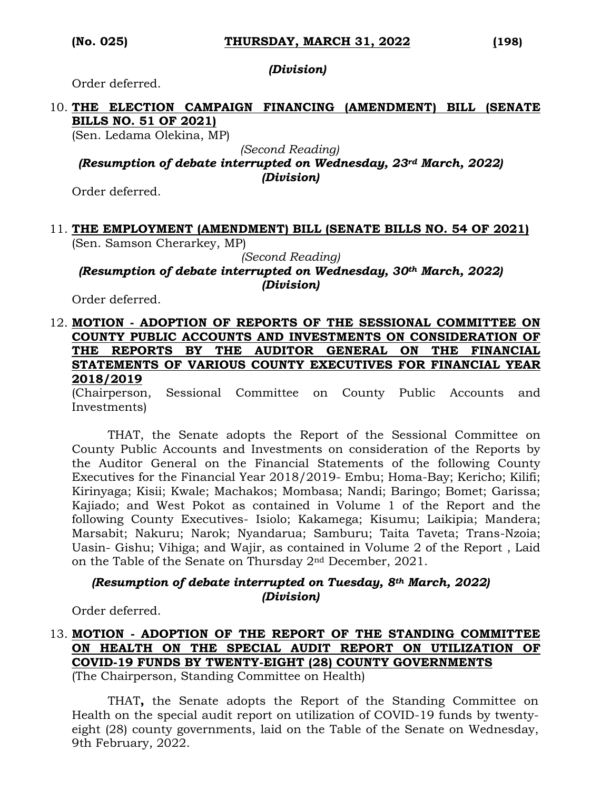*(Division)*

Order deferred.

#### 10. **THE ELECTION CAMPAIGN FINANCING (AMENDMENT) BILL (SENATE BILLS NO. 51 OF 2021)**

(Sen. Ledama Olekina, MP)

*(Second Reading)*

*(Resumption of debate interrupted on Wednesday, 23rd March, 2022) (Division)*

Order deferred.

## 11. **THE EMPLOYMENT (AMENDMENT) BILL (SENATE BILLS NO. 54 OF 2021)**

(Sen. Samson Cherarkey, MP)

*(Second Reading)*

*(Resumption of debate interrupted on Wednesday, 30th March, 2022) (Division)*

Order deferred.

12. **MOTION - ADOPTION OF REPORTS OF THE SESSIONAL COMMITTEE ON COUNTY PUBLIC ACCOUNTS AND INVESTMENTS ON CONSIDERATION OF THE REPORTS BY THE AUDITOR GENERAL ON THE FINANCIAL STATEMENTS OF VARIOUS COUNTY EXECUTIVES FOR FINANCIAL YEAR 2018/2019**

(Chairperson, Sessional Committee on County Public Accounts and Investments)

THAT, the Senate adopts the Report of the Sessional Committee on County Public Accounts and Investments on consideration of the Reports by the Auditor General on the Financial Statements of the following County Executives for the Financial Year 2018/2019- Embu; Homa-Bay; Kericho; Kilifi; Kirinyaga; Kisii; Kwale; Machakos; Mombasa; Nandi; Baringo; Bomet; Garissa; Kajiado; and West Pokot as contained in Volume 1 of the Report and the following County Executives- Isiolo; Kakamega; Kisumu; Laikipia; Mandera; Marsabit; Nakuru; Narok; Nyandarua; Samburu; Taita Taveta; Trans-Nzoia; Uasin- Gishu; Vihiga; and Wajir, as contained in Volume 2 of the Report , Laid on the Table of the Senate on Thursday 2nd December, 2021.

#### *(Resumption of debate interrupted on Tuesday, 8th March, 2022) (Division)*

Order deferred.

## 13. **MOTION - ADOPTION OF THE REPORT OF THE STANDING COMMITTEE ON HEALTH ON THE SPECIAL AUDIT REPORT ON UTILIZATION OF COVID-19 FUNDS BY TWENTY-EIGHT (28) COUNTY GOVERNMENTS**

(The Chairperson, Standing Committee on Health)

THAT**,** the Senate adopts the Report of the Standing Committee on Health on the special audit report on utilization of COVID-19 funds by twentyeight (28) county governments, laid on the Table of the Senate on Wednesday, 9th February, 2022.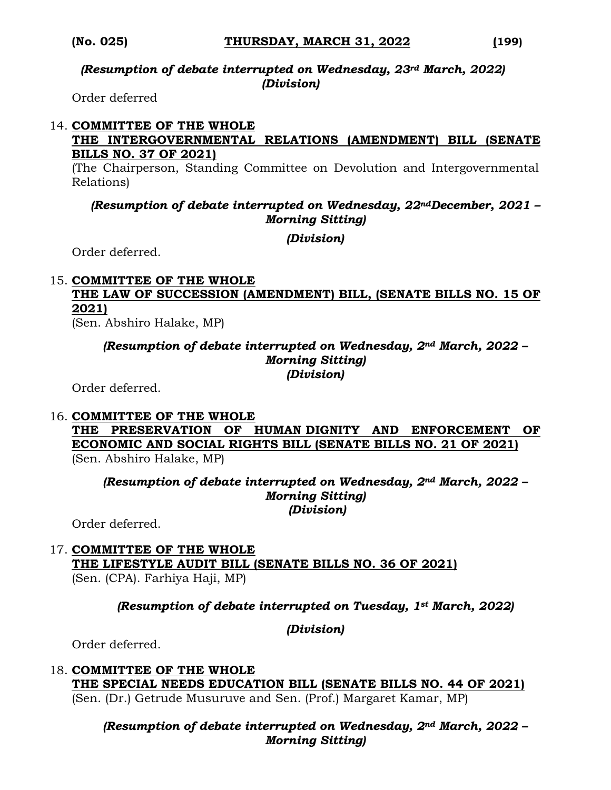#### *(Resumption of debate interrupted on Wednesday, 23rd March, 2022) (Division)*

Order deferred

#### 14. **COMMITTEE OF THE WHOLE THE INTERGOVERNMENTAL RELATIONS (AMENDMENT) BILL (SENATE BILLS NO. 37 OF 2021)**

(The Chairperson, Standing Committee on Devolution and Intergovernmental Relations)

#### *(Resumption of debate interrupted on Wednesday, 22ndDecember, 2021 – Morning Sitting)*

*(Division)*

Order deferred.

#### 15. **COMMITTEE OF THE WHOLE THE LAW OF SUCCESSION (AMENDMENT) BILL, (SENATE BILLS NO. 15 OF 2021)**

(Sen. Abshiro Halake, MP)

#### *(Resumption of debate interrupted on Wednesday, 2nd March, 2022 – Morning Sitting) (Division)*

Order deferred.

## 16. **COMMITTEE OF THE WHOLE**

**THE PRESERVATION OF HUMAN DIGNITY AND ENFORCEMENT OF ECONOMIC AND SOCIAL RIGHTS BILL (SENATE BILLS NO. 21 OF 2021)**  (Sen. Abshiro Halake, MP)

*(Resumption of debate interrupted on Wednesday, 2nd March, 2022 – Morning Sitting) (Division)*

Order deferred.

#### 17. **COMMITTEE OF THE WHOLE THE LIFESTYLE AUDIT BILL (SENATE BILLS NO. 36 OF 2021)**  (Sen. (CPA). Farhiya Haji, MP)

### *(Resumption of debate interrupted on Tuesday, 1st March, 2022)*

*(Division)*

Order deferred.

#### 18. **COMMITTEE OF THE WHOLE THE SPECIAL NEEDS EDUCATION BILL (SENATE BILLS NO. 44 OF 2021)**  (Sen. (Dr.) Getrude Musuruve and Sen. (Prof.) Margaret Kamar, MP)

### *(Resumption of debate interrupted on Wednesday, 2nd March, 2022 – Morning Sitting)*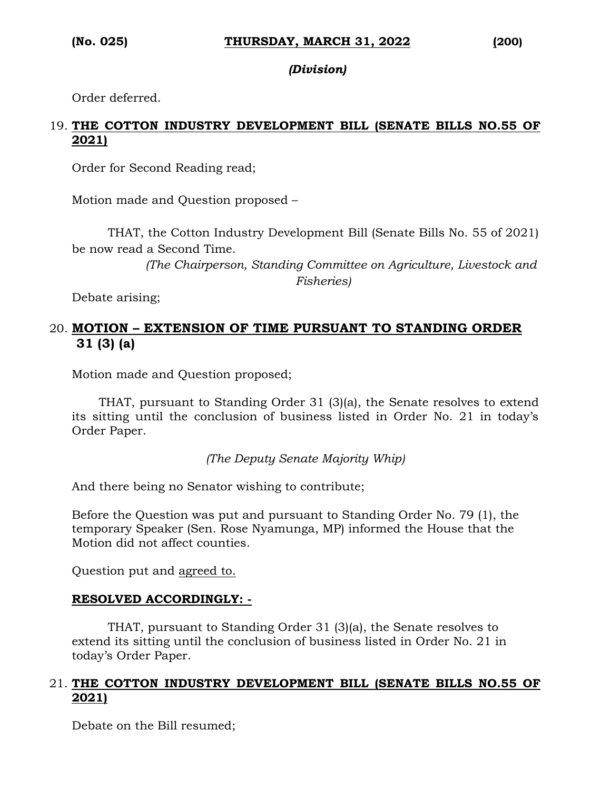#### *(Division)*

Order deferred.

### 19. **THE COTTON INDUSTRY DEVELOPMENT BILL (SENATE BILLS NO.55 OF 2021)**

Order for Second Reading read;

Motion made and Question proposed –

THAT, the Cotton Industry Development Bill (Senate Bills No. 55 of 2021) be now read a Second Time.

> *(The Chairperson, Standing Committee on Agriculture, Livestock and Fisheries)*

Debate arising;

## 20. **MOTION – EXTENSION OF TIME PURSUANT TO STANDING ORDER 31 (3) (a)**

Motion made and Question proposed;

THAT, pursuant to Standing Order 31 (3)(a), the Senate resolves to extend its sitting until the conclusion of business listed in Order No. 21 in today's Order Paper.

*(The Deputy Senate Majority Whip)*

And there being no Senator wishing to contribute;

Before the Question was put and pursuant to Standing Order No. 79 (1), the temporary Speaker (Sen. Rose Nyamunga, MP) informed the House that the Motion did not affect counties.

Question put and agreed to.

#### **RESOLVED ACCORDINGLY: -**

THAT, pursuant to Standing Order 31 (3)(a), the Senate resolves to extend its sitting until the conclusion of business listed in Order No. 21 in today's Order Paper.

#### 21. **THE COTTON INDUSTRY DEVELOPMENT BILL (SENATE BILLS NO.55 OF 2021)**

Debate on the Bill resumed;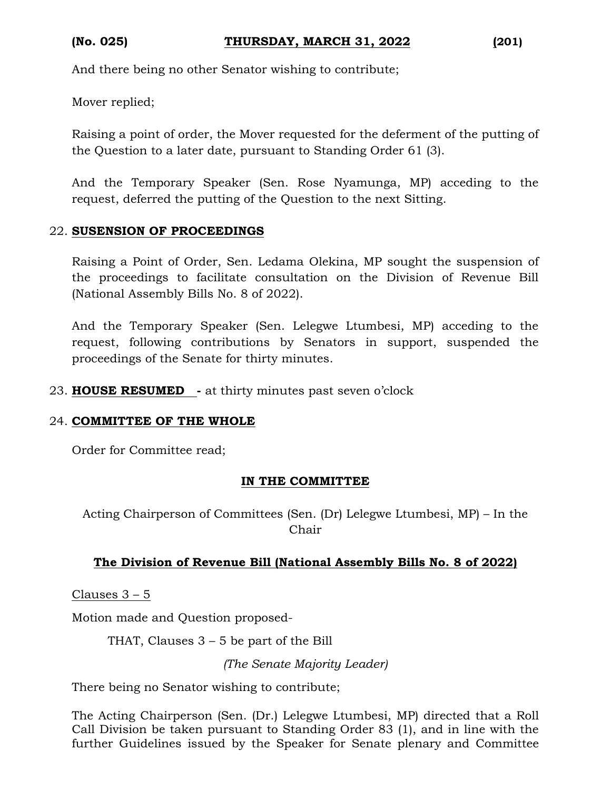And there being no other Senator wishing to contribute;

Mover replied;

Raising a point of order, the Mover requested for the deferment of the putting of the Question to a later date, pursuant to Standing Order 61 (3).

And the Temporary Speaker (Sen. Rose Nyamunga, MP) acceding to the request, deferred the putting of the Question to the next Sitting.

#### 22. **SUSENSION OF PROCEEDINGS**

Raising a Point of Order, Sen. Ledama Olekina, MP sought the suspension of the proceedings to facilitate consultation on the Division of Revenue Bill (National Assembly Bills No. 8 of 2022).

And the Temporary Speaker (Sen. Lelegwe Ltumbesi, MP) acceding to the request, following contributions by Senators in support, suspended the proceedings of the Senate for thirty minutes.

23. **HOUSE RESUMED -** at thirty minutes past seven o'clock

#### 24. **COMMITTEE OF THE WHOLE**

Order for Committee read;

#### **IN THE COMMITTEE**

Acting Chairperson of Committees (Sen. (Dr) Lelegwe Ltumbesi, MP) – In the Chair

### **The Division of Revenue Bill (National Assembly Bills No. 8 of 2022)**

Clauses 3 – 5

Motion made and Question proposed-

THAT, Clauses 3 – 5 be part of the Bill

*(The Senate Majority Leader)*

There being no Senator wishing to contribute;

The Acting Chairperson (Sen. (Dr.) Lelegwe Ltumbesi, MP) directed that a Roll Call Division be taken pursuant to Standing Order 83 (1), and in line with the further Guidelines issued by the Speaker for Senate plenary and Committee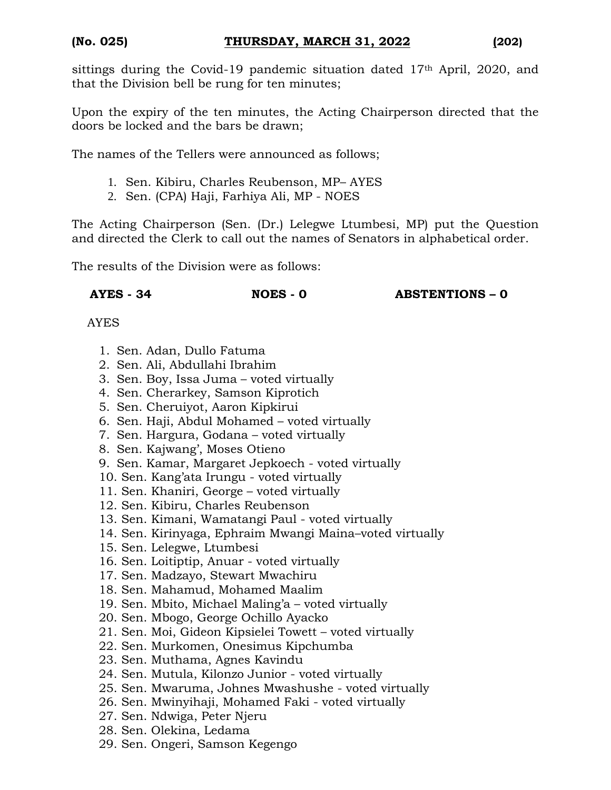sittings during the Covid-19 pandemic situation dated 17<sup>th</sup> April, 2020, and that the Division bell be rung for ten minutes;

Upon the expiry of the ten minutes, the Acting Chairperson directed that the doors be locked and the bars be drawn;

The names of the Tellers were announced as follows;

- 1. Sen. Kibiru, Charles Reubenson, MP– AYES
- 2. Sen. (CPA) Haji, Farhiya Ali, MP NOES

The Acting Chairperson (Sen. (Dr.) Lelegwe Ltumbesi, MP) put the Question and directed the Clerk to call out the names of Senators in alphabetical order.

The results of the Division were as follows:

**AYES - 34 NOES - 0 ABSTENTIONS – 0**

- 1. Sen. Adan, Dullo Fatuma
- 2. Sen. Ali, Abdullahi Ibrahim
- 3. Sen. Boy, Issa Juma voted virtually
- 4. Sen. Cherarkey, Samson Kiprotich
- 5. Sen. Cheruiyot, Aaron Kipkirui
- 6. Sen. Haji, Abdul Mohamed voted virtually
- 7. Sen. Hargura, Godana voted virtually
- 8. Sen. Kajwang', Moses Otieno
- 9. Sen. Kamar, Margaret Jepkoech voted virtually
- 10. Sen. Kang'ata Irungu voted virtually
- 11. Sen. Khaniri, George voted virtually
- 12. Sen. Kibiru, Charles Reubenson
- 13. Sen. Kimani, Wamatangi Paul voted virtually
- 14. Sen. Kirinyaga, Ephraim Mwangi Maina–voted virtually
- 15. Sen. Lelegwe, Ltumbesi
- 16. Sen. Loitiptip, Anuar voted virtually
- 17. Sen. Madzayo, Stewart Mwachiru
- 18. Sen. Mahamud, Mohamed Maalim
- 19. Sen. Mbito, Michael Maling'a voted virtually
- 20. Sen. Mbogo, George Ochillo Ayacko
- 21. Sen. Moi, Gideon Kipsielei Towett voted virtually
- 22. Sen. Murkomen, Onesimus Kipchumba
- 23. Sen. Muthama, Agnes Kavindu
- 24. Sen. Mutula, Kilonzo Junior voted virtually
- 25. Sen. Mwaruma, Johnes Mwashushe voted virtually
- 26. Sen. Mwinyihaji, Mohamed Faki voted virtually
- 27. Sen. Ndwiga, Peter Njeru
- 28. Sen. Olekina, Ledama
- 29. Sen. Ongeri, Samson Kegengo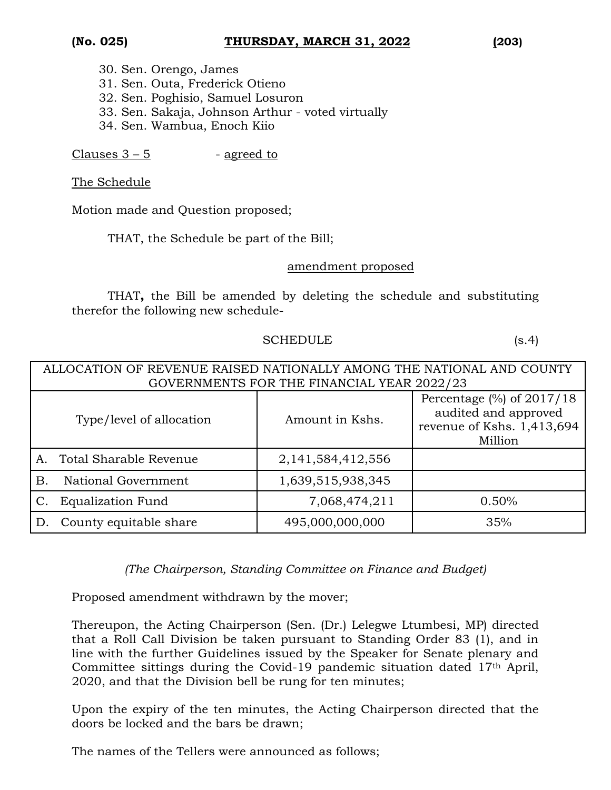- 30. Sen. Orengo, James 31. Sen. Outa, Frederick Otieno 32. Sen. Poghisio, Samuel Losuron 33. Sen. Sakaja, Johnson Arthur - voted virtually
- 
- 34. Sen. Wambua, Enoch Kiio

Clauses  $3 - 5$  - agreed to

The Schedule

Motion made and Question proposed;

THAT, the Schedule be part of the Bill;

#### amendment proposed

THAT**,** the Bill be amended by deleting the schedule and substituting therefor the following new schedule-

#### SCHEDULE (s.4)

| ALLOCATION OF REVENUE RAISED NATIONALLY AMONG THE NATIONAL AND COUNTY |                               |                       |                                                                                                      |
|-----------------------------------------------------------------------|-------------------------------|-----------------------|------------------------------------------------------------------------------------------------------|
| GOVERNMENTS FOR THE FINANCIAL YEAR 2022/23                            |                               |                       |                                                                                                      |
|                                                                       | Type/level of allocation      | Amount in Kshs.       | Percentage $\frac{8}{6}$ of 2017/18<br>audited and approved<br>revenue of Kshs. 1,413,694<br>Million |
|                                                                       | <b>Total Sharable Revenue</b> | 2, 141, 584, 412, 556 |                                                                                                      |
| В.                                                                    | National Government           | 1,639,515,938,345     |                                                                                                      |
|                                                                       | <b>Equalization Fund</b>      | 7,068,474,211         | 0.50%                                                                                                |
| D                                                                     | County equitable share        | 495,000,000,000       | 35%                                                                                                  |

*(The Chairperson, Standing Committee on Finance and Budget)*

Proposed amendment withdrawn by the mover;

Thereupon, the Acting Chairperson (Sen. (Dr.) Lelegwe Ltumbesi, MP) directed that a Roll Call Division be taken pursuant to Standing Order 83 (1), and in line with the further Guidelines issued by the Speaker for Senate plenary and Committee sittings during the Covid-19 pandemic situation dated 17th April, 2020, and that the Division bell be rung for ten minutes;

Upon the expiry of the ten minutes, the Acting Chairperson directed that the doors be locked and the bars be drawn;

The names of the Tellers were announced as follows;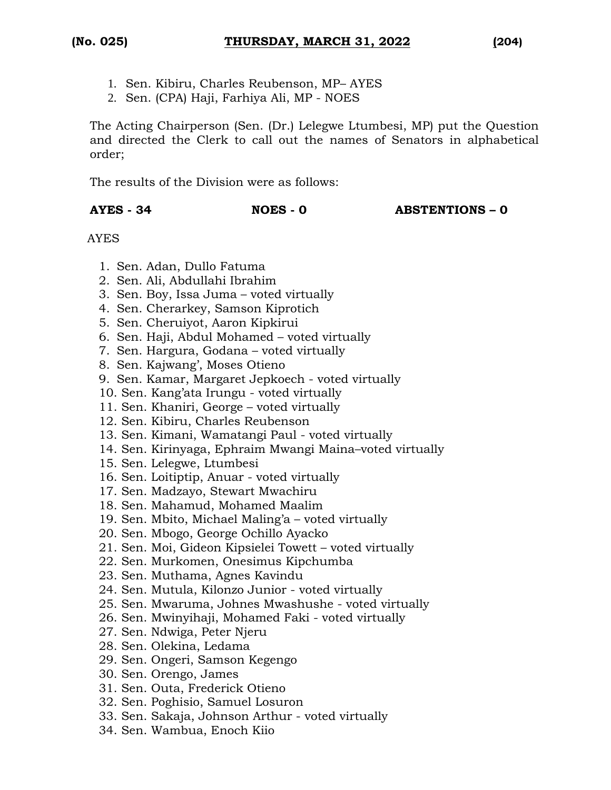- 1. Sen. Kibiru, Charles Reubenson, MP– AYES
- 2. Sen. (CPA) Haji, Farhiya Ali, MP NOES

The Acting Chairperson (Sen. (Dr.) Lelegwe Ltumbesi, MP) put the Question and directed the Clerk to call out the names of Senators in alphabetical order;

The results of the Division were as follows:

#### **AYES - 34 NOES - 0 ABSTENTIONS – 0**

- 1. Sen. Adan, Dullo Fatuma
- 2. Sen. Ali, Abdullahi Ibrahim
- 3. Sen. Boy, Issa Juma voted virtually
- 4. Sen. Cherarkey, Samson Kiprotich
- 5. Sen. Cheruiyot, Aaron Kipkirui
- 6. Sen. Haji, Abdul Mohamed voted virtually
- 7. Sen. Hargura, Godana voted virtually
- 8. Sen. Kajwang', Moses Otieno
- 9. Sen. Kamar, Margaret Jepkoech voted virtually
- 10. Sen. Kang'ata Irungu voted virtually
- 11. Sen. Khaniri, George voted virtually
- 12. Sen. Kibiru, Charles Reubenson
- 13. Sen. Kimani, Wamatangi Paul voted virtually
- 14. Sen. Kirinyaga, Ephraim Mwangi Maina–voted virtually
- 15. Sen. Lelegwe, Ltumbesi
- 16. Sen. Loitiptip, Anuar voted virtually
- 17. Sen. Madzayo, Stewart Mwachiru
- 18. Sen. Mahamud, Mohamed Maalim
- 19. Sen. Mbito, Michael Maling'a voted virtually
- 20. Sen. Mbogo, George Ochillo Ayacko
- 21. Sen. Moi, Gideon Kipsielei Towett voted virtually
- 22. Sen. Murkomen, Onesimus Kipchumba
- 23. Sen. Muthama, Agnes Kavindu
- 24. Sen. Mutula, Kilonzo Junior voted virtually
- 25. Sen. Mwaruma, Johnes Mwashushe voted virtually
- 26. Sen. Mwinyihaji, Mohamed Faki voted virtually
- 27. Sen. Ndwiga, Peter Njeru
- 28. Sen. Olekina, Ledama
- 29. Sen. Ongeri, Samson Kegengo
- 30. Sen. Orengo, James
- 31. Sen. Outa, Frederick Otieno
- 32. Sen. Poghisio, Samuel Losuron
- 33. Sen. Sakaja, Johnson Arthur voted virtually
- 34. Sen. Wambua, Enoch Kiio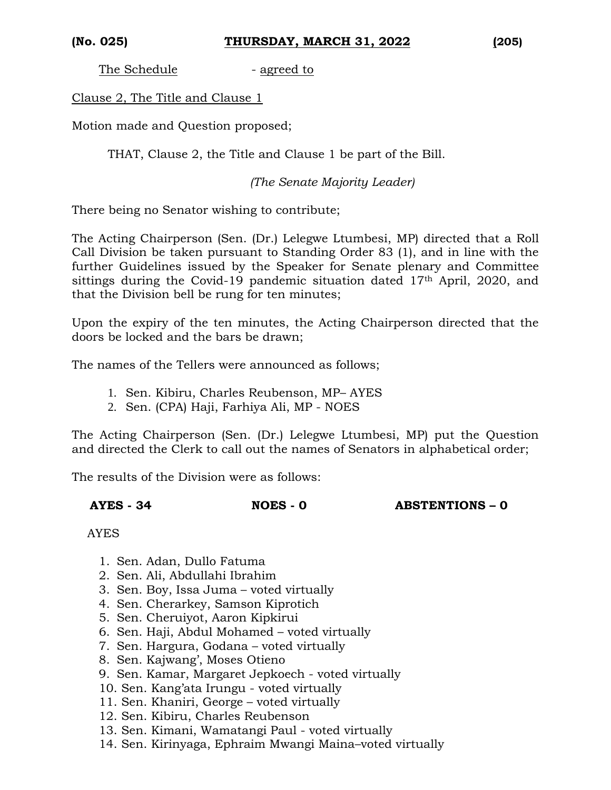The Schedule - agreed to

Clause 2, The Title and Clause 1

Motion made and Question proposed;

THAT, Clause 2, the Title and Clause 1 be part of the Bill.

*(The Senate Majority Leader)*

There being no Senator wishing to contribute;

The Acting Chairperson (Sen. (Dr.) Lelegwe Ltumbesi, MP) directed that a Roll Call Division be taken pursuant to Standing Order 83 (1), and in line with the further Guidelines issued by the Speaker for Senate plenary and Committee sittings during the Covid-19 pandemic situation dated 17<sup>th</sup> April, 2020, and that the Division bell be rung for ten minutes;

Upon the expiry of the ten minutes, the Acting Chairperson directed that the doors be locked and the bars be drawn;

The names of the Tellers were announced as follows;

- 1. Sen. Kibiru, Charles Reubenson, MP– AYES
- 2. Sen. (CPA) Haji, Farhiya Ali, MP NOES

The Acting Chairperson (Sen. (Dr.) Lelegwe Ltumbesi, MP) put the Question and directed the Clerk to call out the names of Senators in alphabetical order;

The results of the Division were as follows:

**AYES - 34 NOES - 0 ABSTENTIONS – 0**

- 1. Sen. Adan, Dullo Fatuma
- 2. Sen. Ali, Abdullahi Ibrahim
- 3. Sen. Boy, Issa Juma voted virtually
- 4. Sen. Cherarkey, Samson Kiprotich
- 5. Sen. Cheruiyot, Aaron Kipkirui
- 6. Sen. Haji, Abdul Mohamed voted virtually
- 7. Sen. Hargura, Godana voted virtually
- 8. Sen. Kajwang', Moses Otieno
- 9. Sen. Kamar, Margaret Jepkoech voted virtually
- 10. Sen. Kang'ata Irungu voted virtually
- 11. Sen. Khaniri, George voted virtually
- 12. Sen. Kibiru, Charles Reubenson
- 13. Sen. Kimani, Wamatangi Paul voted virtually
- 14. Sen. Kirinyaga, Ephraim Mwangi Maina–voted virtually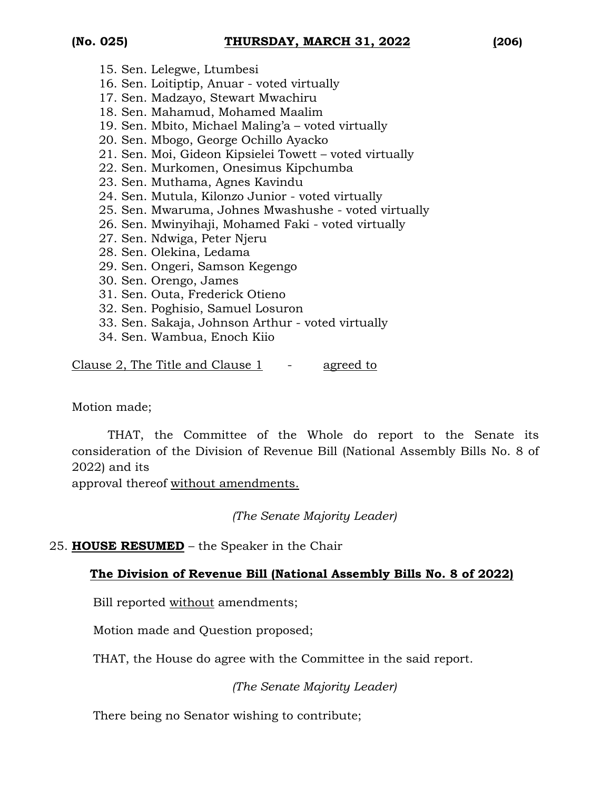- 15. Sen. Lelegwe, Ltumbesi
- 16. Sen. Loitiptip, Anuar voted virtually
- 17. Sen. Madzayo, Stewart Mwachiru
- 18. Sen. Mahamud, Mohamed Maalim
- 19. Sen. Mbito, Michael Maling'a voted virtually
- 20. Sen. Mbogo, George Ochillo Ayacko
- 21. Sen. Moi, Gideon Kipsielei Towett voted virtually
- 22. Sen. Murkomen, Onesimus Kipchumba
- 23. Sen. Muthama, Agnes Kavindu
- 24. Sen. Mutula, Kilonzo Junior voted virtually
- 25. Sen. Mwaruma, Johnes Mwashushe voted virtually
- 26. Sen. Mwinyihaji, Mohamed Faki voted virtually
- 27. Sen. Ndwiga, Peter Njeru
- 28. Sen. Olekina, Ledama
- 29. Sen. Ongeri, Samson Kegengo
- 30. Sen. Orengo, James
- 31. Sen. Outa, Frederick Otieno
- 32. Sen. Poghisio, Samuel Losuron
- 33. Sen. Sakaja, Johnson Arthur voted virtually
- 34. Sen. Wambua, Enoch Kiio

Clause 2, The Title and Clause 1 - agreed to

Motion made;

THAT, the Committee of the Whole do report to the Senate its consideration of the Division of Revenue Bill (National Assembly Bills No. 8 of 2022) and its

approval thereof without amendments.

*(The Senate Majority Leader)*

25. **HOUSE RESUMED** – the Speaker in the Chair

### **The Division of Revenue Bill (National Assembly Bills No. 8 of 2022)**

Bill reported without amendments;

Motion made and Question proposed;

THAT, the House do agree with the Committee in the said report.

*(The Senate Majority Leader)*

There being no Senator wishing to contribute;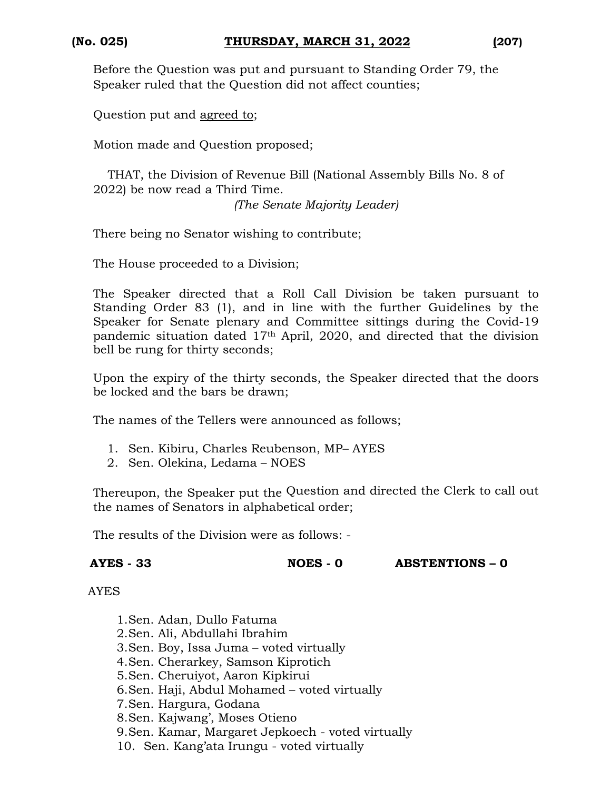Before the Question was put and pursuant to Standing Order 79, the Speaker ruled that the Question did not affect counties;

Question put and agreed to;

Motion made and Question proposed;

THAT, the Division of Revenue Bill (National Assembly Bills No. 8 of 2022) be now read a Third Time.

*(The Senate Majority Leader)*

There being no Senator wishing to contribute;

The House proceeded to a Division;

The Speaker directed that a Roll Call Division be taken pursuant to Standing Order 83 (1), and in line with the further Guidelines by the Speaker for Senate plenary and Committee sittings during the Covid-19 pandemic situation dated 17th April, 2020, and directed that the division bell be rung for thirty seconds;

Upon the expiry of the thirty seconds, the Speaker directed that the doors be locked and the bars be drawn;

The names of the Tellers were announced as follows;

- 1. Sen. Kibiru, Charles Reubenson, MP– AYES
- 2. Sen. Olekina, Ledama NOES

Thereupon, the Speaker put the Question and directed the Clerk to call out the names of Senators in alphabetical order;

The results of the Division were as follows: -

**AYES - 33 NOES - 0 ABSTENTIONS – 0**

- 1.Sen. Adan, Dullo Fatuma 2.Sen. Ali, Abdullahi Ibrahim 3.Sen. Boy, Issa Juma – voted virtually 4.Sen. Cherarkey, Samson Kiprotich 5.Sen. Cheruiyot, Aaron Kipkirui 6.Sen. Haji, Abdul Mohamed – voted virtually 7.Sen. Hargura, Godana 8.Sen. Kajwang', Moses Otieno 9.Sen. Kamar, Margaret Jepkoech - voted virtually
- 10. Sen. Kang'ata Irungu voted virtually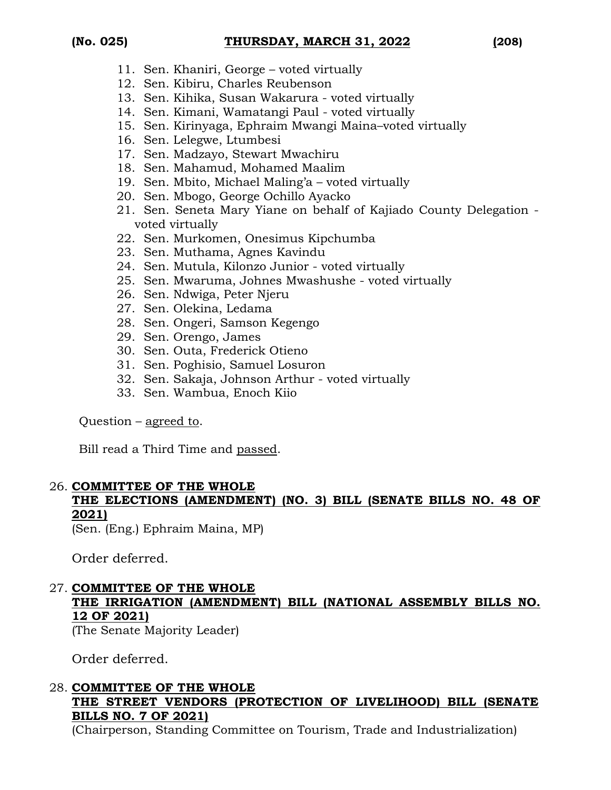- 11. Sen. Khaniri, George voted virtually
- 12. Sen. Kibiru, Charles Reubenson
- 13. Sen. Kihika, Susan Wakarura voted virtually
- 14. Sen. Kimani, Wamatangi Paul voted virtually
- 15. Sen. Kirinyaga, Ephraim Mwangi Maina–voted virtually
- 16. Sen. Lelegwe, Ltumbesi
- 17. Sen. Madzayo, Stewart Mwachiru
- 18. Sen. Mahamud, Mohamed Maalim
- 19. Sen. Mbito, Michael Maling'a voted virtually
- 20. Sen. Mbogo, George Ochillo Ayacko
- 21. Sen. Seneta Mary Yiane on behalf of Kajiado County Delegation voted virtually
- 22. Sen. Murkomen, Onesimus Kipchumba
- 23. Sen. Muthama, Agnes Kavindu
- 24. Sen. Mutula, Kilonzo Junior voted virtually
- 25. Sen. Mwaruma, Johnes Mwashushe voted virtually
- 26. Sen. Ndwiga, Peter Njeru
- 27. Sen. Olekina, Ledama
- 28. Sen. Ongeri, Samson Kegengo
- 29. Sen. Orengo, James
- 30. Sen. Outa, Frederick Otieno
- 31. Sen. Poghisio, Samuel Losuron
- 32. Sen. Sakaja, Johnson Arthur voted virtually
- 33. Sen. Wambua, Enoch Kiio

Question – agreed to.

Bill read a Third Time and passed.

### 26. **COMMITTEE OF THE WHOLE**

## **THE ELECTIONS (AMENDMENT) (NO. 3) BILL (SENATE BILLS NO. 48 OF 2021)**

(Sen. (Eng.) Ephraim Maina, MP)

Order deferred.

### 27. **COMMITTEE OF THE WHOLE**

## **THE IRRIGATION (AMENDMENT) BILL (NATIONAL ASSEMBLY BILLS NO. 12 OF 2021)**

(The Senate Majority Leader)

Order deferred.

### 28. **COMMITTEE OF THE WHOLE THE STREET VENDORS (PROTECTION OF LIVELIHOOD) BILL (SENATE BILLS NO. 7 OF 2021)**

(Chairperson, Standing Committee on Tourism, Trade and Industrialization)